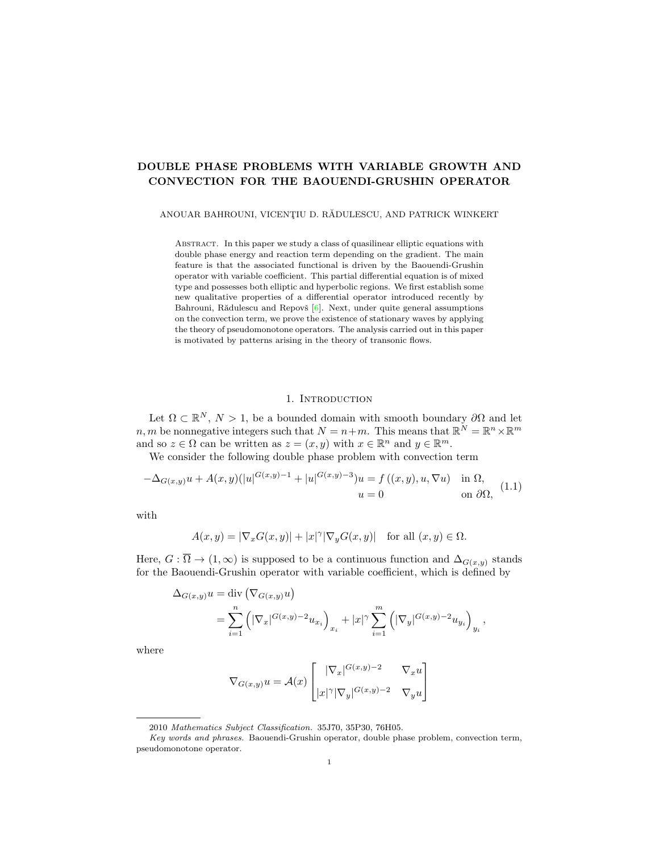# DOUBLE PHASE PROBLEMS WITH VARIABLE GROWTH AND CONVECTION FOR THE BAOUENDI-GRUSHIN OPERATOR

ANOUAR BAHROUNI, VICENȚIU D. RĂDULESCU, AND PATRICK WINKERT

Abstract. In this paper we study a class of quasilinear elliptic equations with double phase energy and reaction term depending on the gradient. The main feature is that the associated functional is driven by the Baouendi-Grushin operator with variable coefficient. This partial differential equation is of mixed type and possesses both elliptic and hyperbolic regions. We first establish some new qualitative properties of a differential operator introduced recently by Bahrouni, Rădulescu and Repovš [\[6\]](#page-13-0). Next, under quite general assumptions on the convection term, we prove the existence of stationary waves by applying the theory of pseudomonotone operators. The analysis carried out in this paper is motivated by patterns arising in the theory of transonic flows.

### 1. INTRODUCTION

<span id="page-0-1"></span>Let  $\Omega \subset \mathbb{R}^N$ ,  $N > 1$ , be a bounded domain with smooth boundary  $\partial\Omega$  and let  $n, m$  be nonnegative integers such that  $N = n+m$ . This means that  $\mathbb{R}^N = \mathbb{R}^n \times \mathbb{R}^m$ and so  $z \in \Omega$  can be written as  $z = (x, y)$  with  $x \in \mathbb{R}^n$  and  $y \in \mathbb{R}^m$ .

We consider the following double phase problem with convection term

<span id="page-0-0"></span>
$$
-\Delta_{G(x,y)}u + A(x,y)(|u|^{G(x,y)-1} + |u|^{G(x,y)-3})u = f((x,y), u, \nabla u) \quad \text{in } \Omega, \quad (1.1)
$$

$$
u = 0 \quad \text{on } \partial\Omega,
$$

with

$$
A(x,y) = |\nabla_x G(x,y)| + |x|^\gamma |\nabla_y G(x,y)| \quad \text{for all } (x,y) \in \Omega.
$$

Here,  $G : \overline{\Omega} \to (1,\infty)$  is supposed to be a continuous function and  $\Delta_{G(x,y)}$  stands for the Baouendi-Grushin operator with variable coefficient, which is defined by

$$
\Delta_{G(x,y)} u = \text{div} \left( \nabla_{G(x,y)} u \right)
$$
  
= 
$$
\sum_{i=1}^{n} \left( |\nabla_x|^{G(x,y)-2} u_{x_i} \right)_{x_i} + |x|^{\gamma} \sum_{i=1}^{m} \left( |\nabla_y|^{G(x,y)-2} u_{y_i} \right)_{y_i},
$$

where

$$
\nabla_{G(x,y)} u = \mathcal{A}(x) \begin{bmatrix} |\nabla_x|^{G(x,y)-2} & \nabla_x u \\ |x|^\gamma |\nabla_y|^{G(x,y)-2} & \nabla_y u \end{bmatrix}
$$

<sup>2010</sup> Mathematics Subject Classification. 35J70, 35P30, 76H05.

Key words and phrases. Baouendi-Grushin operator, double phase problem, convection term, pseudomonotone operator.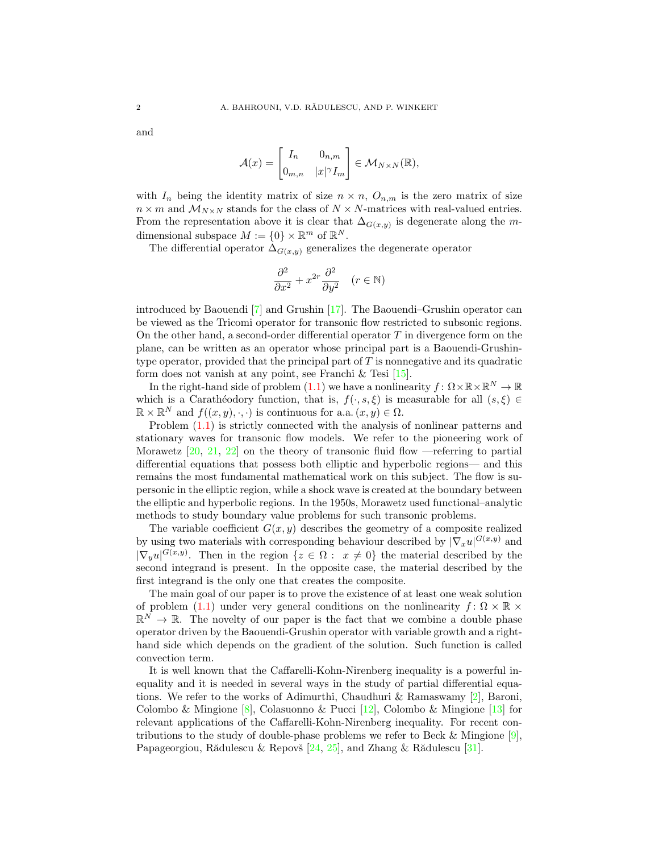and

$$
\mathcal{A}(x) = \begin{bmatrix} I_n & 0_{n,m} \\ 0_{m,n} & |x|^\gamma I_m \end{bmatrix} \in \mathcal{M}_{N \times N}(\mathbb{R}),
$$

with  $I_n$  being the identity matrix of size  $n \times n$ ,  $O_{n,m}$  is the zero matrix of size  $n \times m$  and  $\mathcal{M}_{N \times N}$  stands for the class of  $N \times N$ -matrices with real-valued entries. From the representation above it is clear that  $\Delta_{G(x,y)}$  is degenerate along the mdimensional subspace  $M := \{0\} \times \mathbb{R}^m$  of  $\mathbb{R}^N$ .

The differential operator  $\Delta_{G(x,y)}$  generalizes the degenerate operator

$$
\frac{\partial^2}{\partial x^2} + x^{2r} \frac{\partial^2}{\partial y^2} \quad (r \in \mathbb{N})
$$

introduced by Baouendi [\[7\]](#page-13-1) and Grushin [\[17\]](#page-13-2). The Baouendi–Grushin operator can be viewed as the Tricomi operator for transonic flow restricted to subsonic regions. On the other hand, a second-order differential operator  $T$  in divergence form on the plane, can be written as an operator whose principal part is a Baouendi-Grushintype operator, provided that the principal part of  $T$  is nonnegative and its quadratic form does not vanish at any point, see Franchi  $\&$  Tesi [\[15\]](#page-13-3).

In the right-hand side of problem [\(1.1\)](#page-0-0) we have a nonlinearity  $f: \Omega \times \mathbb{R} \times \mathbb{R}^N \to \mathbb{R}$ which is a Carathéodory function, that is,  $f(\cdot, s, \xi)$  is measurable for all  $(s, \xi) \in$  $\mathbb{R} \times \mathbb{R}^N$  and  $f((x, y), \cdot, \cdot)$  is continuous for a.a.  $(x, y) \in \Omega$ .

Problem [\(1.1\)](#page-0-0) is strictly connected with the analysis of nonlinear patterns and stationary waves for transonic flow models. We refer to the pioneering work of Morawetz  $[20, 21, 22]$  $[20, 21, 22]$  $[20, 21, 22]$  $[20, 21, 22]$  $[20, 21, 22]$  on the theory of transonic fluid flow —referring to partial differential equations that possess both elliptic and hyperbolic regions— and this remains the most fundamental mathematical work on this subject. The flow is supersonic in the elliptic region, while a shock wave is created at the boundary between the elliptic and hyperbolic regions. In the 1950s, Morawetz used functional–analytic methods to study boundary value problems for such transonic problems.

The variable coefficient  $G(x, y)$  describes the geometry of a composite realized by using two materials with corresponding behaviour described by  $|\nabla_x u|^{G(x,y)}$  and  $|\nabla_y u|^{G(x,y)}$ . Then in the region  $\{z \in \Omega : x \neq 0\}$  the material described by the second integrand is present. In the opposite case, the material described by the first integrand is the only one that creates the composite.

The main goal of our paper is to prove the existence of at least one weak solution of problem [\(1.1\)](#page-0-0) under very general conditions on the nonlinearity  $f: \Omega \times \mathbb{R} \times$  $\mathbb{R}^N \to \mathbb{R}$ . The novelty of our paper is the fact that we combine a double phase operator driven by the Baouendi-Grushin operator with variable growth and a righthand side which depends on the gradient of the solution. Such function is called convection term.

It is well known that the Caffarelli-Kohn-Nirenberg inequality is a powerful inequality and it is needed in several ways in the study of partial differential equations. We refer to the works of Adimurthi, Chaudhuri & Ramaswamy [\[2\]](#page-13-7), Baroni, Colombo & Mingione [\[8\]](#page-13-8), Colasuonno & Pucci [\[12\]](#page-13-9), Colombo & Mingione [\[13\]](#page-13-10) for relevant applications of the Caffarelli-Kohn-Nirenberg inequality. For recent contributions to the study of double-phase problems we refer to Beck & Mingione [\[9\]](#page-13-11), Papageorgiou, Rădulescu & Repovš  $[24, 25]$  $[24, 25]$  $[24, 25]$ , and Zhang & Rădulescu  $[31]$ .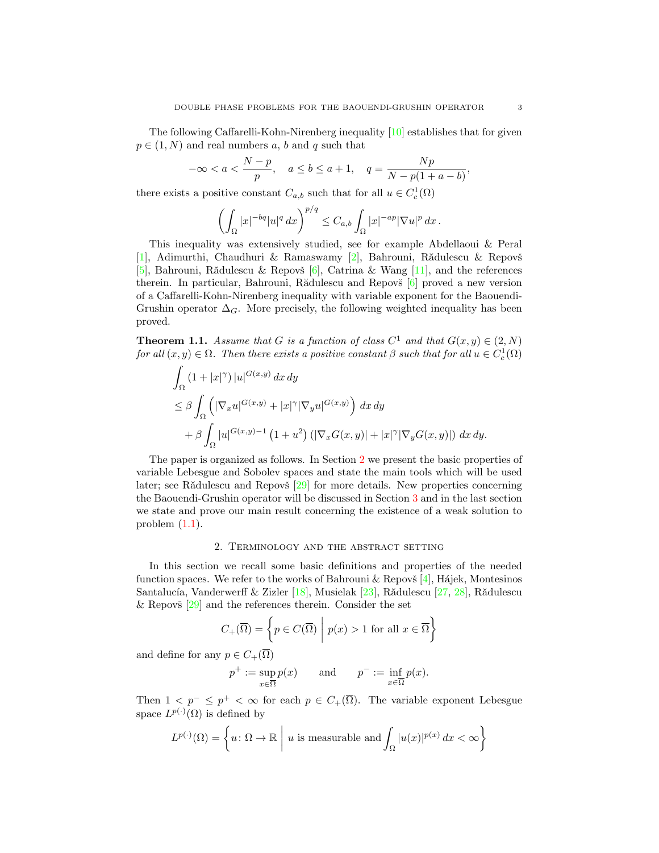The following Caffarelli-Kohn-Nirenberg inequality [\[10\]](#page-13-14) establishes that for given  $p \in (1, N)$  and real numbers a, b and q such that

$$
-\infty < a < \frac{N-p}{p}, \quad a \le b \le a+1, \quad q = \frac{Np}{N-p(1+a-b)},
$$

there exists a positive constant  $C_{a,b}$  such that for all  $u \in C_c^1(\Omega)$ 

$$
\left(\int_{\Omega}|x|^{-bq}|u|^{q} dx\right)^{p/q} \leq C_{a,b} \int_{\Omega}|x|^{-ap}|\nabla u|^{p} dx.
$$

This inequality was extensively studied, see for example Abdellaoui & Peral [\[1\]](#page-13-15), Adimurthi, Chaudhuri & Ramaswamy [\[2\]](#page-13-7), Bahrouni, Rădulescu & Repovš [\[5\]](#page-13-16), Bahrouni, Rădulescu & Repovš [\[6\]](#page-13-0), Catrina & Wang [\[11\]](#page-13-17), and the references therein. In particular, Bahrouni, Rădulescu and Repovš [\[6\]](#page-13-0) proved a new version of a Caffarelli-Kohn-Nirenberg inequality with variable exponent for the Baouendi-Grushin operator  $\Delta_G$ . More precisely, the following weighted inequality has been proved.

<span id="page-2-1"></span>**Theorem 1.1.** Assume that G is a function of class  $C^1$  and that  $G(x, y) \in (2, N)$ for all  $(x, y) \in \Omega$ . Then there exists a positive constant  $\beta$  such that for all  $u \in C_c^1(\Omega)$ 

$$
\int_{\Omega} (1+|x|^{\gamma}) |u|^{G(x,y)} dx dy
$$
\n
$$
\leq \beta \int_{\Omega} (|\nabla_x u|^{G(x,y)} + |x|^{\gamma} |\nabla_y u|^{G(x,y)}) dx dy
$$
\n
$$
+ \beta \int_{\Omega} |u|^{G(x,y)-1} (1+u^2) (|\nabla_x G(x,y)| + |x|^{\gamma} |\nabla_y G(x,y)|) dx dy.
$$

The paper is organized as follows. In Section [2](#page-2-0) we present the basic properties of variable Lebesgue and Sobolev spaces and state the main tools which will be used later; see Rădulescu and Repovš  $[29]$  for more details. New properties concerning the Baouendi-Grushin operator will be discussed in Section [3](#page-4-0) and in the last section we state and prove our main result concerning the existence of a weak solution to problem  $(1.1)$ .

### 2. Terminology and the abstract setting

<span id="page-2-0"></span>In this section we recall some basic definitions and properties of the needed function spaces. We refer to the works of Bahrouni  $\&$  Repovš [\[4\]](#page-13-18), Hájek, Montesinos Santalucía, Vanderwerff & Zizler [\[18\]](#page-13-19), Musielak [\[23\]](#page-13-20), Rădulescu [\[27,](#page-14-2) [28\]](#page-14-3), Rădulescu & Repovš  $[29]$  and the references therein. Consider the set

$$
C_{+}(\overline{\Omega}) = \left\{ p \in C(\overline{\Omega}) \mid p(x) > 1 \text{ for all } x \in \overline{\Omega} \right\}
$$

and define for any  $p\in C_+(\overline\Omega)$ 

$$
p^+ := \sup_{x \in \overline{\Omega}} p(x)
$$
 and  $p^- := \inf_{x \in \overline{\Omega}} p(x)$ .

Then  $1 \leq p^{-} \leq p^{+} \leq \infty$  for each  $p \in C_{+}(\overline{\Omega})$ . The variable exponent Lebesgue space  $L^{p(\cdot)}(\Omega)$  is defined by

$$
L^{p(\cdot)}(\Omega) = \left\{ u \colon \Omega \to \mathbb{R} \mid u \text{ is measurable and } \int_{\Omega} |u(x)|^{p(x)} dx < \infty \right\}
$$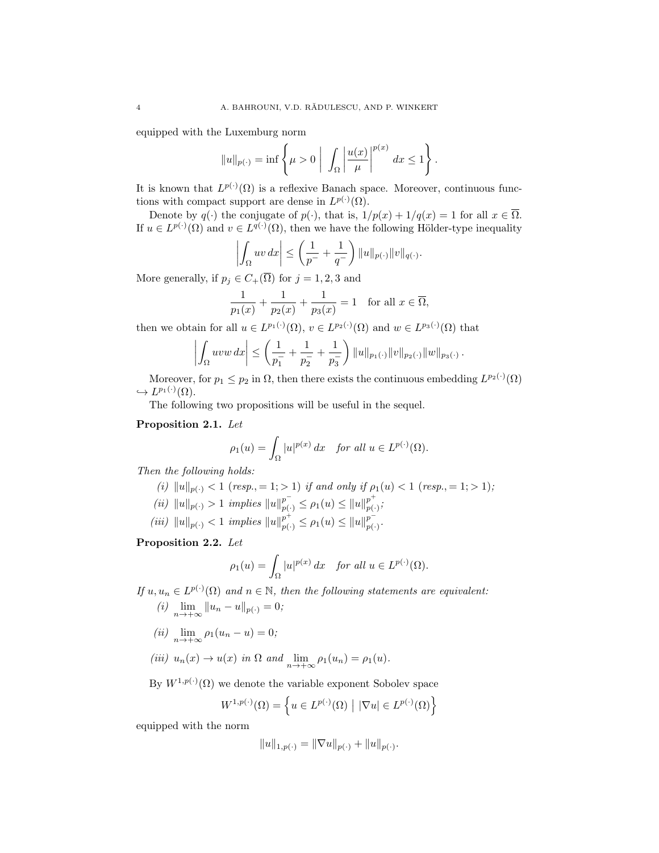equipped with the Luxemburg norm

$$
||u||_{p(\cdot)} = \inf \left\{ \mu > 0 \mid \int_{\Omega} \left| \frac{u(x)}{\mu} \right|^{p(x)} dx \le 1 \right\}.
$$

It is known that  $L^{p(\cdot)}(\Omega)$  is a reflexive Banach space. Moreover, continuous functions with compact support are dense in  $L^{p(\cdot)}(\Omega)$ .

Denote by  $q(\cdot)$  the conjugate of  $p(\cdot)$ , that is,  $1/p(x) + 1/q(x) = 1$  for all  $x \in \overline{\Omega}$ . If  $u \in L^{p(\cdot)}(\Omega)$  and  $v \in L^{q(\cdot)}(\Omega)$ , then we have the following Hölder-type inequality

$$
\left| \int_{\Omega} uv \, dx \right| \leq \left( \frac{1}{p^{-}} + \frac{1}{q^{-}} \right) ||u||_{p(\cdot)} ||v||_{q(\cdot)}.
$$

More generally, if  $p_j \in C_+(\overline{\Omega})$  for  $j = 1, 2, 3$  and

$$
\frac{1}{p_1(x)} + \frac{1}{p_2(x)} + \frac{1}{p_3(x)} = 1 \text{ for all } x \in \overline{\Omega},
$$

then we obtain for all  $u \in L^{p_1(\cdot)}(\Omega)$ ,  $v \in L^{p_2(\cdot)}(\Omega)$  and  $w \in L^{p_3(\cdot)}(\Omega)$  that

$$
\left| \int_{\Omega} uvw \, dx \right| \leq \left( \frac{1}{p_1^-} + \frac{1}{p_2^-} + \frac{1}{p_3^-} \right) ||u||_{p_1(\cdot)} ||v||_{p_2(\cdot)} ||w||_{p_3(\cdot)}
$$

.

Moreover, for  $p_1 \leq p_2$  in  $\Omega$ , then there exists the continuous embedding  $L^{p_2(\cdot)}(\Omega)$  $\hookrightarrow L^{p_1(\cdot)}(\Omega).$ 

The following two propositions will be useful in the sequel.

## <span id="page-3-0"></span>Proposition 2.1. Let

$$
\rho_1(u) = \int_{\Omega} |u|^{p(x)} dx \quad \text{for all } u \in L^{p(\cdot)}(\Omega).
$$

Then the following holds:

- (i)  $||u||_{p(.)} < 1$  (resp., = 1; > 1) if and only if  $\rho_1(u) < 1$  (resp., = 1; > 1);
- (ii)  $||u||_{p(\cdot)} > 1$  implies  $||u||_{p(\cdot)}^{p^{-}} \leq \rho_1(u) \leq ||u||_{p(\cdot)}^{p^{+}}$  $_{p(\cdot)}^{p},$

(iii)  $||u||_{p(\cdot)} < 1$  implies  $||u||_{p(\cdot)}^{p^+} \leq \rho_1(u) \leq ||u||_{p(\cdot)}^{p^-}$  $_{p(\cdot )}^{p}.$ 

<span id="page-3-1"></span>Proposition 2.2. Let

$$
\rho_1(u) = \int_{\Omega} |u|^{p(x)} dx \quad \text{for all } u \in L^{p(\cdot)}(\Omega).
$$

If  $u, u_n \in L^{p(\cdot)}(\Omega)$  and  $n \in \mathbb{N}$ , then the following statements are equivalent: (i)  $\lim_{n \to +\infty} ||u_n - u||_{p(.)} = 0;$ 

- (ii)  $\lim_{n \to +\infty} \rho_1(u_n u) = 0;$
- (iii)  $u_n(x) \to u(x)$  in  $\Omega$  and  $\lim_{n \to +\infty} \rho_1(u_n) = \rho_1(u)$ .

By  $W^{1,p(\cdot)}(\Omega)$  we denote the variable exponent Sobolev space

$$
W^{1,p(\cdot)}(\Omega) = \left\{ u \in L^{p(\cdot)}(\Omega) \mid |\nabla u| \in L^{p(\cdot)}(\Omega) \right\}
$$

equipped with the norm

$$
||u||_{1,p(\cdot)} = ||\nabla u||_{p(\cdot)} + ||u||_{p(\cdot)}.
$$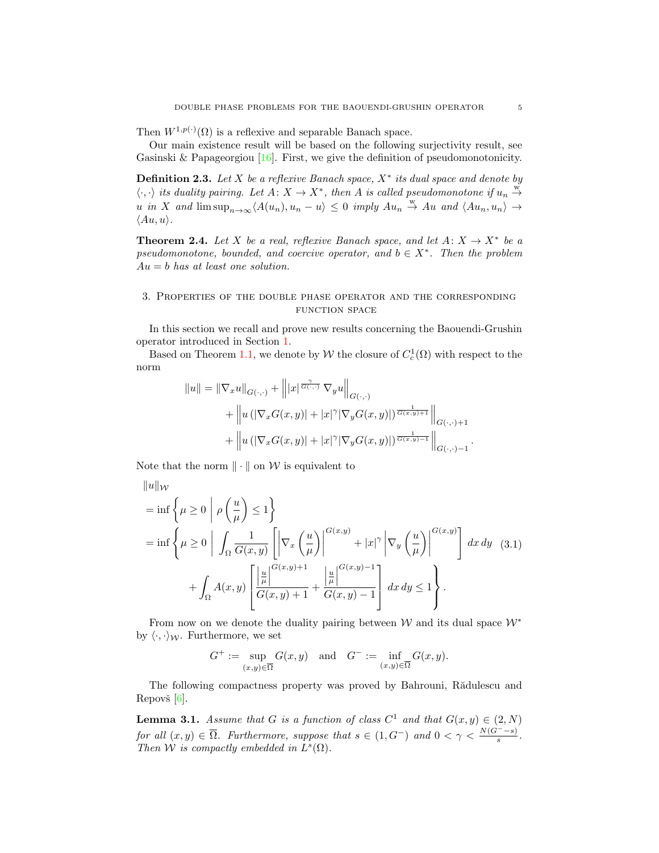Then  $W^{1,p(\cdot)}(\Omega)$  is a reflexive and separable Banach space.

Our main existence result will be based on the following surjectivity result, see Gasinski & Papageorgiou  $[16]$ . First, we give the definition of pseudomonotonicity.

<span id="page-4-3"></span>**Definition 2.3.** Let X be a reflexive Banach space,  $X^*$  its dual space and denote by  $\langle \cdot, \cdot \rangle$  its duality pairing. Let  $A: X \to X^*$ , then A is called pseudomonotone if  $u_n \stackrel{w}{\to}$ u in X and  $\limsup_{n\to\infty} \langle A(u_n), u_n - u \rangle \leq 0$  imply  $Au_n \stackrel{w}{\to} Au$  and  $\langle Au_n, u_n \rangle \to$  $\langle Au, u \rangle$ .

<span id="page-4-4"></span>**Theorem 2.4.** Let X be a real, reflexive Banach space, and let  $A: X \to X^*$  be a pseudomonotone, bounded, and coercive operator, and  $b \in X^*$ . Then the problem  $Au = b$  has at least one solution.

## <span id="page-4-0"></span>3. Properties of the double phase operator and the corresponding function space

In this section we recall and prove new results concerning the Baouendi-Grushin operator introduced in Section [1.](#page-0-1)

Based on Theorem [1.1,](#page-2-1) we denote by  $W$  the closure of  $C_c^1(\Omega)$  with respect to the norm

$$
||u|| = ||\nabla_x u||_{G(\cdot,\cdot)} + |||x|^{\frac{\gamma}{G(\cdot,\cdot)}} \nabla_y u||_{G(\cdot,\cdot)} + ||u (|\nabla_x G(x,y)| + |x|^\gamma |\nabla_y G(x,y)|)^{\frac{1}{G(x,y)+1}}||_{G(\cdot,\cdot)+1} + ||u (|\nabla_x G(x,y)| + |x|^\gamma |\nabla_y G(x,y)|)^{\frac{1}{G(x,y)-1}}||_{G(\cdot,\cdot)-1}.
$$

Note that the norm  $\|\cdot\|$  on W is equivalent to

$$
\|u\|_{\mathcal{W}}
$$
\n
$$
= \inf \left\{ \mu \ge 0 \mid \rho \left( \frac{u}{\mu} \right) \le 1 \right\}
$$
\n
$$
= \inf \left\{ \mu \ge 0 \mid \int_{\Omega} \frac{1}{G(x,y)} \left[ \left| \nabla_x \left( \frac{u}{\mu} \right) \right|^{G(x,y)} + |x|^{\gamma} \left| \nabla_y \left( \frac{u}{\mu} \right) \right|^{G(x,y)} \right] dx dy \quad (3.1)
$$
\n
$$
+ \int_{\Omega} A(x,y) \left[ \frac{u}{\mu} \left| \frac{G(x,y)+1}{G(x,y)+1} + \frac{u}{G(x,y)-1} \right| dx dy \le 1 \right\}.
$$

From now on we denote the duality pairing between W and its dual space  $\mathcal{W}^*$ by  $\langle \cdot, \cdot \rangle_{\mathcal{W}}$ . Furthermore, we set

<span id="page-4-1"></span>
$$
G^+ := \sup_{(x,y)\in\overline{\Omega}} G(x,y) \quad \text{and} \quad G^- := \inf_{(x,y)\in\overline{\Omega}} G(x,y).
$$

The following compactness property was proved by Bahrouni, Rădulescu and Repovš $[6]$ .

<span id="page-4-2"></span>**Lemma 3.1.** Assume that G is a function of class  $C^1$  and that  $G(x, y) \in (2, N)$ for all  $(x, y) \in \overline{\Omega}$ . Furthermore, suppose that  $s \in (1, G^-)$  and  $0 < \gamma < \frac{N(G^--s)}{s}$ . Then W is compactly embedded in  $L^s(\Omega)$ .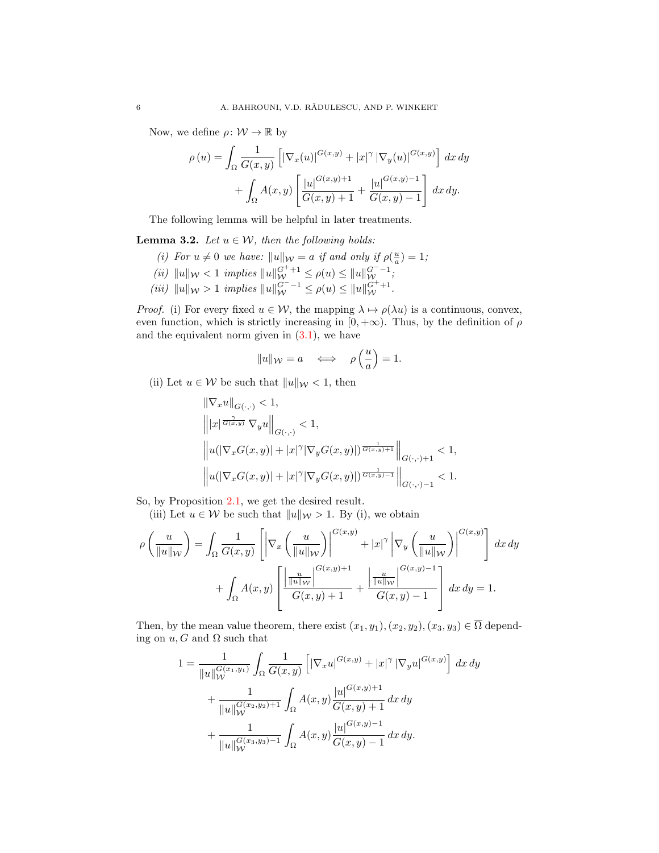Now, we define  $\rho \colon \mathcal{W} \to \mathbb{R}$  by

$$
\rho(u) = \int_{\Omega} \frac{1}{G(x,y)} \left[ |\nabla_x(u)|^{G(x,y)} + |x|^{\gamma} |\nabla_y(u)|^{G(x,y)} \right] dx dy
$$

$$
+ \int_{\Omega} A(x,y) \left[ \frac{|u|^{G(x,y)+1}}{G(x,y)+1} + \frac{|u|^{G(x,y)-1}}{G(x,y)-1} \right] dx dy.
$$

The following lemma will be helpful in later treatments.

<span id="page-5-0"></span>**Lemma 3.2.** Let  $u \in \mathcal{W}$ , then the following holds:

- (i) For  $u \neq 0$  we have:  $||u||_{\mathcal{W}} = a$  if and only if  $\rho(\frac{u}{a}) = 1$ ;
- (ii)  $||u||_{\mathcal{W}} < 1$  implies  $||u||_{\mathcal{W}}^{G^+ + 1} \leq \rho(u) \leq ||u||_{\mathcal{W}}^{G^- 1}$ ;
- (iii)  $||u||_{\mathcal{W}} > 1$  implies  $||u||_{\mathcal{W}}^{G^{-}-1} \leq \rho(u) \leq ||u||_{\mathcal{W}}^{G^{+}+1}$ .

*Proof.* (i) For every fixed  $u \in \mathcal{W}$ , the mapping  $\lambda \mapsto \rho(\lambda u)$  is a continuous, convex, even function, which is strictly increasing in  $[0, +\infty)$ . Thus, by the definition of  $\rho$ and the equivalent norm given in  $(3.1)$ , we have

$$
||u||_{\mathcal{W}} = a \quad \Longleftrightarrow \quad \rho\left(\frac{u}{a}\right) = 1.
$$

(ii) Let  $u \in \mathcal{W}$  be such that  $||u||_{\mathcal{W}} < 1$ , then

$$
\label{eq:20} \begin{split} &\|\nabla_x u\|_{G(\cdot,\cdot)}<1,\\ &\left\||x|^{\frac{\gamma}{G(x,y)}}\,\nabla_y u\right\|_{G(\cdot,\cdot)}<1,\\ &\left\|u(|\nabla_x G(x,y)|+|x|^\gamma|\nabla_y G(x,y)|)^{\frac{1}{G(x,y)+1}}\right\|_{G(\cdot,\cdot)+1}<1,\\ &\left\|u(|\nabla_x G(x,y)|+|x|^\gamma|\nabla_y G(x,y)|)^{\frac{1}{G(x,y)-1}}\right\|_{G(\cdot,\cdot)-1}<1. \end{split}
$$

So, by Proposition [2.1,](#page-3-0) we get the desired result.

(iii) Let  $u \in \mathcal{W}$  be such that  $||u||_{\mathcal{W}} > 1$ . By (i), we obtain

$$
\rho\left(\frac{u}{\|u\|_{\mathcal{W}}}\right) = \int_{\Omega} \frac{1}{G(x,y)} \left[ \left| \nabla_x \left(\frac{u}{\|u\|_{\mathcal{W}}}\right) \right|^{G(x,y)} + |x|^{\gamma} \left| \nabla_y \left(\frac{u}{\|u\|_{\mathcal{W}}}\right) \right|^{G(x,y)} \right] dx dy
$$

$$
+ \int_{\Omega} A(x,y) \left[ \frac{\left| \frac{u}{\|u\|_{\mathcal{W}}}\right|^{G(x,y)+1}}{G(x,y)+1} + \frac{\left| \frac{u}{\|u\|_{\mathcal{W}}}\right|^{G(x,y)-1}}{G(x,y)-1} \right] dx dy = 1.
$$

Then, by the mean value theorem, there exist  $(x_1, y_1), (x_2, y_2), (x_3, y_3) \in \overline{\Omega}$  depending on  $u, G$  and  $\Omega$  such that

$$
1 = \frac{1}{\|u\|_{\mathcal{W}}^{G(x_1,y_1)}} \int_{\Omega} \frac{1}{G(x,y)} \left[ |\nabla_x u|^{G(x,y)} + |x|^{\gamma} |\nabla_y u|^{G(x,y)} \right] dx dy
$$
  
+ 
$$
\frac{1}{\|u\|_{\mathcal{W}}^{G(x_2,y_2)+1}} \int_{\Omega} A(x,y) \frac{|u|^{G(x,y)+1}}{G(x,y)+1} dx dy
$$
  
+ 
$$
\frac{1}{\|u\|_{\mathcal{W}}^{G(x_3,y_3)-1}} \int_{\Omega} A(x,y) \frac{|u|^{G(x,y)-1}}{G(x,y)-1} dx dy.
$$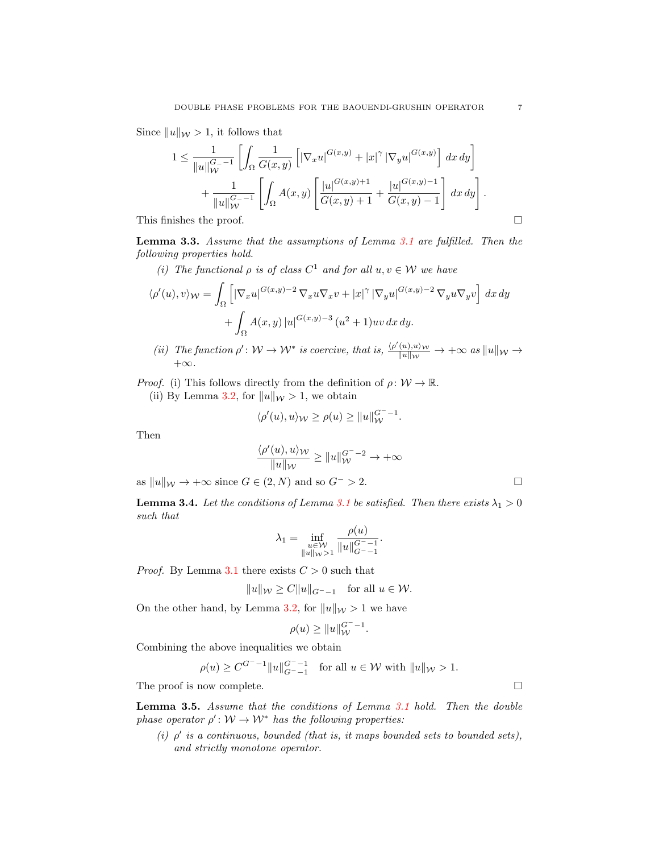Since  $||u||_{\mathcal{W}} > 1$ , it follows that

$$
1 \leq \frac{1}{\|u\|_{\mathcal{W}}^{G_{-}-1}} \left[ \int_{\Omega} \frac{1}{G(x,y)} \left[ |\nabla_x u|^{G(x,y)} + |x|^{\gamma} |\nabla_y u|^{G(x,y)} \right] dx dy \right] + \frac{1}{\|u\|_{\mathcal{W}}^{G_{-}-1}} \left[ \int_{\Omega} A(x,y) \left[ \frac{|u|^{G(x,y)+1}}{G(x,y)+1} + \frac{|u|^{G(x,y)-1}}{G(x,y)-1} \right] dx dy \right].
$$
  
This finishes the proof.

<span id="page-6-0"></span>Lemma 3.3. Assume that the assumptions of Lemma [3.1](#page-4-2) are fulfilled. Then the following properties hold.

(i) The functional  $\rho$  is of class  $C^1$  and for all  $u, v \in \mathcal{W}$  we have

$$
\langle \rho'(u), v \rangle_{\mathcal{W}} = \int_{\Omega} \left[ |\nabla_x u|^{G(x,y)-2} \nabla_x u \nabla_x v + |x|^{\gamma} |\nabla_y u|^{G(x,y)-2} \nabla_y u \nabla_y v \right] dx dy + \int_{\Omega} A(x,y) |u|^{G(x,y)-3} (u^2 + 1) uv dx dy.
$$

(ii) The function  $\rho' \colon \mathcal{W} \to \mathcal{W}^*$  is coercive, that is,  $\frac{\langle \rho'(u), u \rangle_{\mathcal{W}}}{||u||_{\mathcal{W}}} \to +\infty$  as  $||u||_{\mathcal{W}} \to$  $+\infty$ .

*Proof.* (i) This follows directly from the definition of  $\rho: W \to \mathbb{R}$ .

(ii) By Lemma [3.2,](#page-5-0) for  $||u||_{\mathcal{W}} > 1$ , we obtain

$$
\langle \rho'(u), u \rangle_{\mathcal{W}} \ge \rho(u) \ge ||u||_{\mathcal{W}}^{G^{-}-1}.
$$

Then

$$
\frac{\langle \rho'(u), u \rangle \mathcal{W}}{\|u\| \mathcal{W}} \geq \|u\|_{\mathcal{W}}^{G^--2} \to +\infty
$$

as  $||u||_{\mathcal{W}} \to +\infty$  since  $G \in (2, N)$  and so  $G^{-} > 2$ .

<span id="page-6-1"></span>**Lemma 3.4.** Let the conditions of Lemma [3.1](#page-4-2) be satisfied. Then there exists  $\lambda_1 > 0$ such that

$$
\lambda_1 = \inf_{\substack{u \in \mathcal{W} \\ \|u\|_{\mathcal{W}} > 1}} \frac{\rho(u)}{\|u\|_{G^{-1}}^{G^{-1}}}
$$

.

*Proof.* By Lemma [3.1](#page-4-2) there exists  $C > 0$  such that

$$
||u||_{\mathcal{W}} \ge C||u||_{G^{-}-1} \quad \text{for all } u \in \mathcal{W}.
$$

On the other hand, by Lemma [3.2,](#page-5-0) for  $||u||_{\mathcal{W}} > 1$  we have

$$
\rho(u) \ge ||u||_{\mathcal{W}}^{G^- - 1}.
$$

Combining the above inequalities we obtain

$$
\rho(u) \ge C^{G^- - 1} \|u\|_{G^- - 1}^{G^- - 1} \quad \text{for all } u \in \mathcal{W} \text{ with } \|u\|_{\mathcal{W}} > 1.
$$

The proof is now complete.

<span id="page-6-2"></span>Lemma 3.5. Assume that the conditions of Lemma [3.1](#page-4-2) hold. Then the double phase operator  $\rho' : \mathcal{W} \to \mathcal{W}^*$  has the following properties:

(i)  $\rho'$  is a continuous, bounded (that is, it maps bounded sets to bounded sets), and strictly monotone operator.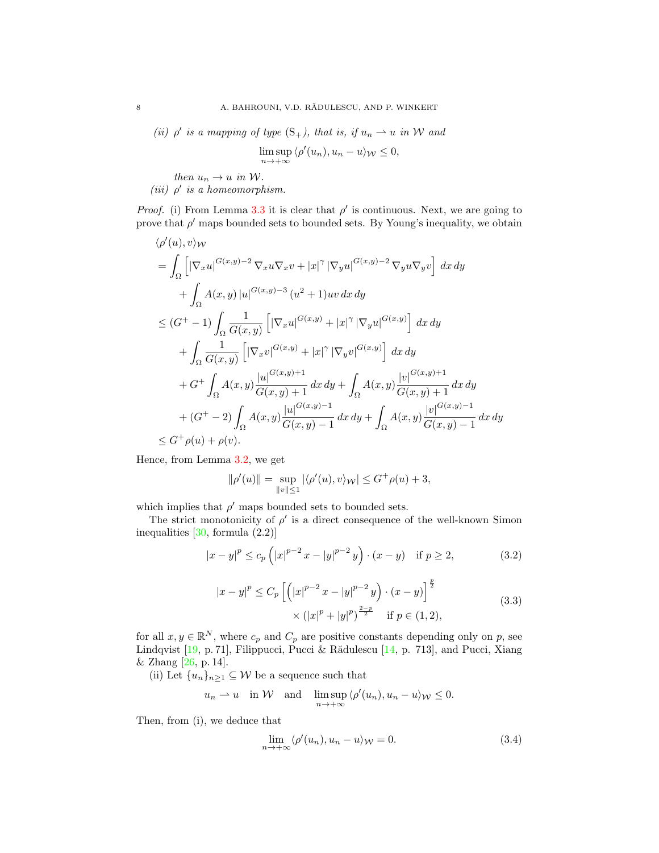(ii)  $\rho'$  is a mapping of type  $(S_+)$ , that is, if  $u_n \rightharpoonup u$  in W and

$$
\limsup_{n \to +\infty} \langle \rho'(u_n), u_n - u \rangle_{\mathcal{W}} \le 0,
$$

then  $u_n \to u$  in W.

(iii)  $\rho'$  is a homeomorphism.

*Proof.* (i) From Lemma [3.3](#page-6-0) it is clear that  $\rho'$  is continuous. Next, we are going to prove that  $\rho'$  maps bounded sets to bounded sets. By Young's inequality, we obtain

$$
\langle \rho'(u), v \rangle_{\mathcal{W}}
$$
\n
$$
= \int_{\Omega} \left[ |\nabla_x u|^{G(x,y)-2} \nabla_x u \nabla_x v + |x|^{\gamma} |\nabla_y u|^{G(x,y)-2} \nabla_y u \nabla_y v \right] dx dy
$$
\n
$$
+ \int_{\Omega} A(x,y) |u|^{G(x,y)-3} (u^2 + 1)uv dx dy
$$
\n
$$
\leq (G^+ - 1) \int_{\Omega} \frac{1}{G(x,y)} \left[ |\nabla_x u|^{G(x,y)} + |x|^{\gamma} |\nabla_y u|^{G(x,y)} \right] dx dy
$$
\n
$$
+ \int_{\Omega} \frac{1}{G(x,y)} \left[ |\nabla_x v|^{G(x,y)} + |x|^{\gamma} |\nabla_y v|^{G(x,y)} \right] dx dy
$$
\n
$$
+ G^+ \int_{\Omega} A(x,y) \frac{|u|^{G(x,y)+1}}{G(x,y)+1} dx dy + \int_{\Omega} A(x,y) \frac{|v|^{G(x,y)+1}}{G(x,y)+1} dx dy
$$
\n
$$
+ (G^+ - 2) \int_{\Omega} A(x,y) \frac{|u|^{G(x,y)-1}}{G(x,y)-1} dx dy + \int_{\Omega} A(x,y) \frac{|v|^{G(x,y)-1}}{G(x,y)-1} dx dy
$$
\n
$$
\leq G^+ \rho(u) + \rho(v).
$$

Hence, from Lemma [3.2,](#page-5-0) we get

<span id="page-7-0"></span>
$$
\|\rho'(u)\|=\sup_{\|v\|\leq 1}|\langle\rho'(u),v\rangle_{\mathcal{W}}|\leq G^+\rho(u)+3,
$$

which implies that  $\rho'$  maps bounded sets to bounded sets.

The strict monotonicity of  $\rho'$  is a direct consequence of the well-known Simon inequalities  $[30, \text{ formula } (2.2)]$  $[30, \text{ formula } (2.2)]$ 

$$
|x - y|^p \le c_p \left( |x|^{p-2} x - |y|^{p-2} y \right) \cdot (x - y) \quad \text{if } p \ge 2,
$$
 (3.2)

$$
|x - y|^p \le C_p \left[ \left( |x|^{p-2} \, x - |y|^{p-2} \, y \right) \cdot (x - y) \right]^{\frac{p}{2}} \times (|x|^p + |y|^p)^{\frac{2-p}{2}} \quad \text{if } p \in (1, 2), \tag{3.3}
$$

for all  $x, y \in \mathbb{R}^N$ , where  $c_p$  and  $C_p$  are positive constants depending only on p, see Lindqvist [\[19,](#page-13-22) p. 71], Filippucci, Pucci & Rădulescu [\[14,](#page-13-23) p. 713], and Pucci, Xiang & Zhang [\[26,](#page-13-24) p. 14].

(ii) Let  $\{u_n\}_{n\geq 1}\subseteq \mathcal{W}$  be a sequence such that

$$
u_n \rightharpoonup u
$$
 in W and  $\limsup_{n \to +\infty} \langle \rho'(u_n), u_n - u \rangle_{\mathcal{W}} \leq 0.$ 

Then, from (i), we deduce that

<span id="page-7-2"></span><span id="page-7-1"></span>
$$
\lim_{n \to +\infty} \langle \rho'(u_n), u_n - u \rangle_{\mathcal{W}} = 0. \tag{3.4}
$$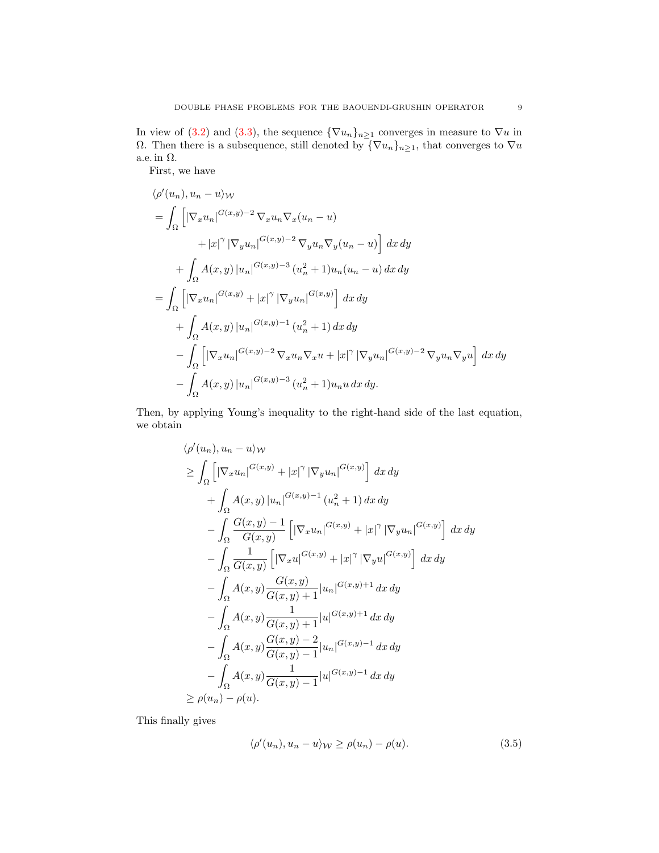In view of [\(3.2\)](#page-7-0) and [\(3.3\)](#page-7-1), the sequence  $\{\nabla u_n\}_{n\geq 1}$  converges in measure to  $\nabla u$  in Ω. Then there is a subsequence, still denoted by  ${\lbrace \nabla u_n \rbrace_{n \geq 1}}$ , that converges to  $\nabla u$ a.e. in  $\Omega$ .

First, we have

$$
\langle \rho'(u_n), u_n - u \rangle_W
$$
  
=  $\int_{\Omega} \left[ |\nabla_x u_n|^{G(x,y)-2} \nabla_x u_n \nabla_x (u_n - u) + |x|^{\gamma} |\nabla_y u_n|^{G(x,y)-2} \nabla_y u_n \nabla_y (u_n - u) \right] dx dy$   
+  $\int_{\Omega} A(x,y) |u_n|^{G(x,y)-3} (u_n^2 + 1) u_n (u_n - u) dx dy$   
=  $\int_{\Omega} \left[ |\nabla_x u_n|^{G(x,y)} + |x|^{\gamma} |\nabla_y u_n|^{G(x,y)} \right] dx dy$   
+  $\int_{\Omega} A(x,y) |u_n|^{G(x,y)-1} (u_n^2 + 1) dx dy$   
-  $\int_{\Omega} \left[ |\nabla_x u_n|^{G(x,y)-2} \nabla_x u_n \nabla_x u + |x|^{\gamma} |\nabla_y u_n|^{G(x,y)-2} \nabla_y u_n \nabla_y u \right] dx dy$   
-  $\int_{\Omega} A(x,y) |u_n|^{G(x,y)-3} (u_n^2 + 1) u_n u dx dy.$ 

Then, by applying Young's inequality to the right-hand side of the last equation, we obtain

$$
\langle \rho'(u_n), u_n - u \rangle_{\mathcal{W}}
$$
\n
$$
\geq \int_{\Omega} \left[ |\nabla_x u_n|^{G(x,y)} + |x|^{\gamma} |\nabla_y u_n|^{G(x,y)} \right] dx dy
$$
\n
$$
+ \int_{\Omega} A(x,y) |u_n|^{G(x,y)-1} (u_n^2 + 1) dx dy
$$
\n
$$
- \int_{\Omega} \frac{G(x,y) - 1}{G(x,y)} \left[ |\nabla_x u_n|^{G(x,y)} + |x|^{\gamma} |\nabla_y u_n|^{G(x,y)} \right] dx dy
$$
\n
$$
- \int_{\Omega} \frac{1}{G(x,y)} \left[ |\nabla_x u|^{G(x,y)} + |x|^{\gamma} |\nabla_y u|^{G(x,y)} \right] dx dy
$$
\n
$$
- \int_{\Omega} A(x,y) \frac{G(x,y)}{G(x,y) + 1} |u_n|^{G(x,y)+1} dx dy
$$
\n
$$
- \int_{\Omega} A(x,y) \frac{G(x,y) - 2}{G(x,y) + 1} |u|^{G(x,y)-1} dx dy
$$
\n
$$
- \int_{\Omega} A(x,y) \frac{G(x,y) - 2}{G(x,y) - 1} |u_n|^{G(x,y)-1} dx dy
$$
\n
$$
\geq \rho(u_n) - \rho(u).
$$

This finally gives

<span id="page-8-0"></span>
$$
\langle \rho'(u_n), u_n - u \rangle_{\mathcal{W}} \ge \rho(u_n) - \rho(u). \tag{3.5}
$$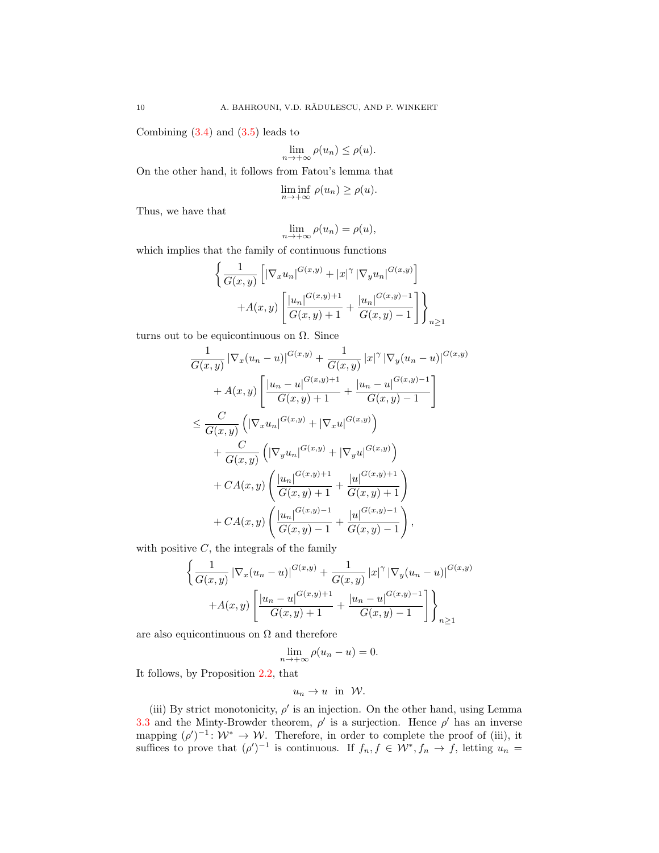Combining  $(3.4)$  and  $(3.5)$  leads to

$$
\lim_{n \to +\infty} \rho(u_n) \le \rho(u).
$$

On the other hand, it follows from Fatou's lemma that

$$
\liminf_{n \to +\infty} \rho(u_n) \ge \rho(u).
$$

Thus, we have that

$$
\lim_{n \to +\infty} \rho(u_n) = \rho(u),
$$

which implies that the family of continuous functions

$$
\left\{ \frac{1}{G(x,y)} \left[ |\nabla_x u_n|^{G(x,y)} + |x|^\gamma |\nabla_y u_n|^{G(x,y)} \right] + A(x,y) \left[ \frac{|u_n|^{G(x,y)+1}}{G(x,y)+1} + \frac{|u_n|^{G(x,y)-1}}{G(x,y)-1} \right] \right\}_{n \ge 1}
$$

turns out to be equicontinuous on  $\Omega$ . Since

$$
\frac{1}{G(x,y)} |\nabla_x (u_n - u)|^{G(x,y)} + \frac{1}{G(x,y)} |x|^\gamma |\nabla_y (u_n - u)|^{G(x,y)} \n+ A(x,y) \left[ \frac{|u_n - u|^{G(x,y)+1}}{G(x,y)+1} + \frac{|u_n - u|^{G(x,y)-1}}{G(x,y)-1} \right] \n\leq \frac{C}{G(x,y)} \left( |\nabla_x u_n|^{G(x,y)} + |\nabla_x u|^{G(x,y)} \right) \n+ \frac{C}{G(x,y)} \left( |\nabla_y u_n|^{G(x,y)} + |\nabla_y u|^{G(x,y)} \right) \n+ CA(x,y) \left( \frac{|u_n|^{G(x,y)+1}}{G(x,y)+1} + \frac{|u|^{G(x,y)+1}}{G(x,y)+1} \right) \n+ CA(x,y) \left( \frac{|u_n|^{G(x,y)-1}}{G(x,y)-1} + \frac{|u|^{G(x,y)-1}}{G(x,y)-1} \right),
$$

with positive  $C$ , the integrals of the family

$$
\left\{ \frac{1}{G(x,y)} \left| \nabla_x (u_n - u) \right|^{G(x,y)} + \frac{1}{G(x,y)} \left| x \right|^\gamma \left| \nabla_y (u_n - u) \right|^{G(x,y)} + A(x,y) \left[ \frac{|u_n - u|^{G(x,y)+1}}{G(x,y)+1} + \frac{|u_n - u|^{G(x,y)-1}}{G(x,y)-1} \right] \right\}_{n \ge 1}
$$

are also equicontinuous on  $\Omega$  and therefore

$$
\lim_{n \to +\infty} \rho(u_n - u) = 0.
$$

It follows, by Proposition [2.2,](#page-3-1) that

$$
u_n \to u \quad \text{in} \quad \mathcal{W}.
$$

(iii) By strict monotonicity,  $\rho'$  is an injection. On the other hand, using Lemma [3.3](#page-6-0) and the Minty-Browder theorem,  $\rho'$  is a surjection. Hence  $\rho'$  has an inverse mapping  $(\rho')^{-1}$ :  $\mathcal{W}^* \to \mathcal{W}$ . Therefore, in order to complete the proof of (iii), it suffices to prove that  $(\rho')^{-1}$  is continuous. If  $f_n, f \in \mathcal{W}^*, f_n \to f$ , letting  $u_n =$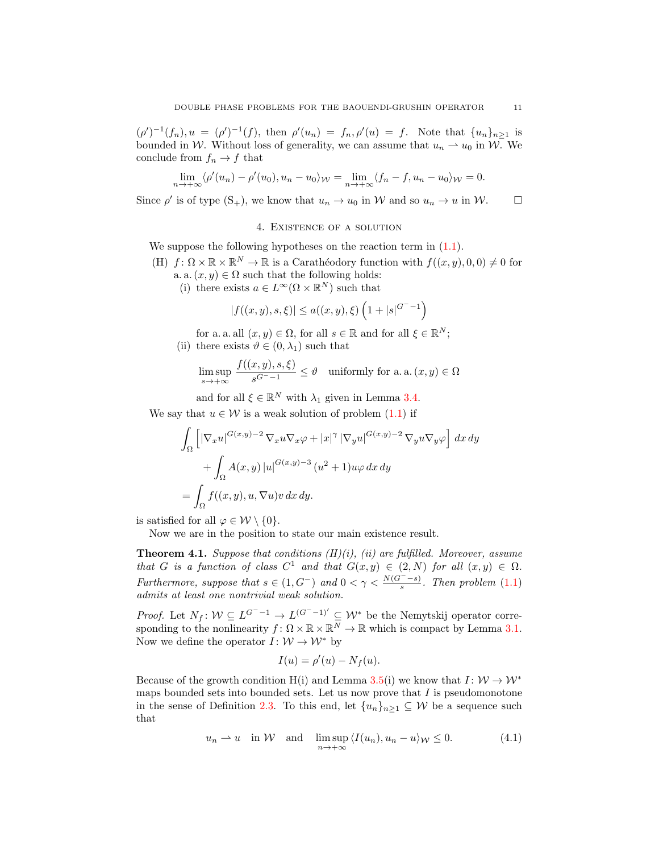$(\rho')^{-1}(f_n), u = (\rho')^{-1}(f)$ , then  $\rho'(u_n) = f_n, \rho'(u) = f$ . Note that  $\{u_n\}_{n\geq 1}$  is bounded in W. Without loss of generality, we can assume that  $u_n \rightharpoonup u_0$  in W. We conclude from  $f_n \to f$  that

$$
\lim_{n \to +\infty} \langle \rho'(u_n) - \rho'(u_0), u_n - u_0 \rangle_{\mathcal{W}} = \lim_{n \to +\infty} \langle f_n - f, u_n - u_0 \rangle_{\mathcal{W}} = 0.
$$

Since  $\rho'$  is of type  $(S_+)$ , we know that  $u_n \to u_0$  in W and so  $u_n \to u$  in W.  $\square$ 

### 4. Existence of a solution

We suppose the following hypotheses on the reaction term in  $(1.1)$ .

- (H)  $f: \Omega \times \mathbb{R} \times \mathbb{R}^N \to \mathbb{R}$  is a Carathéodory function with  $f((x, y), 0, 0) \neq 0$  for a. a.  $(x, y) \in \Omega$  such that the following holds:
	- (i) there exists  $a \in L^{\infty}(\Omega \times \mathbb{R}^{N})$  such that

$$
|f((x,y),s,\xi)| \le a((x,y),\xi) \left(1+|s|^{G^- - 1}\right)
$$

for a. a. all  $(x, y) \in \Omega$ , for all  $s \in \mathbb{R}$  and for all  $\xi \in \mathbb{R}^N$ ; (ii) there exists  $\vartheta \in (0, \lambda_1)$  such that

$$
\limsup_{s \to +\infty} \frac{f((x,y),s,\xi)}{s^{G^--1}} \le \vartheta \quad \text{uniformly for a. a. } (x,y) \in \Omega
$$

and for all  $\xi \in \mathbb{R}^N$  with  $\lambda_1$  given in Lemma [3.4.](#page-6-1)

We say that  $u \in \mathcal{W}$  is a weak solution of problem  $(1.1)$  if

$$
\int_{\Omega} \left[ |\nabla_x u|^{G(x,y)-2} \nabla_x u \nabla_x \varphi + |x|^{\gamma} |\nabla_y u|^{G(x,y)-2} \nabla_y u \nabla_y \varphi \right] dx dy
$$

$$
+ \int_{\Omega} A(x,y) |u|^{G(x,y)-3} (u^2 + 1) u \varphi dx dy
$$

$$
= \int_{\Omega} f((x,y), u, \nabla u) v dx dy.
$$

is satisfied for all  $\varphi \in \mathcal{W} \setminus \{0\}.$ 

Now we are in the position to state our main existence result.

<span id="page-10-1"></span>**Theorem 4.1.** Suppose that conditions  $(H)(i)$ , (ii) are fulfilled. Moreover, assume that G is a function of class  $C^1$  and that  $G(x, y) \in (2, N)$  for all  $(x, y) \in \Omega$ . Furthermore, suppose that  $s \in (1, G^-)$  and  $0 < \gamma < \frac{N(G^--s)}{s}$ . Then problem  $(1.1)$ admits at least one nontrivial weak solution.

*Proof.* Let  $N_f: W \subseteq L^{G^- - 1} \to L^{(G^- - 1)'} \subseteq W^*$  be the Nemytskij operator corresponding to the nonlinearity  $f: \Omega \times \mathbb{R} \times \mathbb{R}^N \to \mathbb{R}$  which is compact by Lemma [3.1.](#page-4-2) Now we define the operator  $I: W \to W^*$  by

<span id="page-10-0"></span>
$$
I(u) = \rho'(u) - N_f(u).
$$

Because of the growth condition H(i) and Lemma [3.5\(](#page-6-2)i) we know that  $I: W \to W^*$ maps bounded sets into bounded sets. Let us now prove that  $I$  is pseudomonotone in the sense of Definition [2.3.](#page-4-3) To this end, let  $\{u_n\}_{n\geq 1} \subseteq W$  be a sequence such that

$$
u_n \rightharpoonup u
$$
 in W and  $\limsup_{n \to +\infty} \langle I(u_n), u_n - u \rangle_{\mathcal{W}} \le 0.$  (4.1)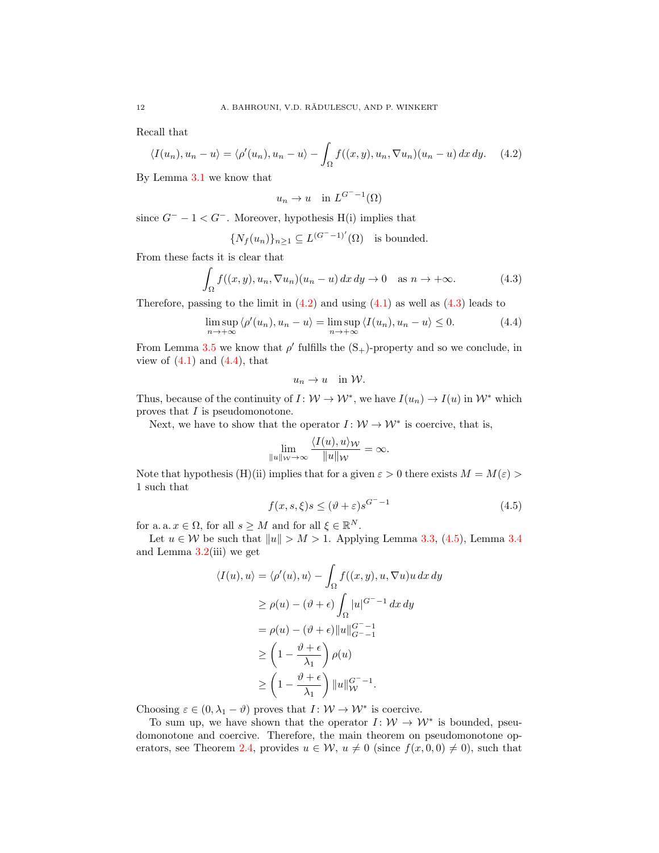Recall that

$$
\langle I(u_n), u_n - u \rangle = \langle \rho'(u_n), u_n - u \rangle - \int_{\Omega} f((x, y), u_n, \nabla u_n)(u_n - u) \, dx \, dy. \tag{4.2}
$$

By Lemma [3.1](#page-4-2) we know that

<span id="page-11-0"></span>
$$
u_n \to u \quad \text{in } L^{G^- - 1}(\Omega)
$$

since  $G^- - 1 < G^-$ . Moreover, hypothesis H(i) implies that

$$
\{N_f(u_n)\}_{n\geq 1} \subseteq L^{(G^--1)'}(\Omega) \text{ is bounded.}
$$

From these facts it is clear that

$$
\int_{\Omega} f((x, y), u_n, \nabla u_n)(u_n - u) dx dy \to 0 \quad \text{as } n \to +\infty.
$$
 (4.3)

Therefore, passing to the limit in  $(4.2)$  and using  $(4.1)$  as well as  $(4.3)$  leads to

<span id="page-11-2"></span>
$$
\limsup_{n \to +\infty} \langle \rho'(u_n), u_n - u \rangle = \limsup_{n \to +\infty} \langle I(u_n), u_n - u \rangle \le 0.
$$
 (4.4)

From Lemma [3.5](#page-6-2) we know that  $\rho'$  fulfills the  $(S_+)$ -property and so we conclude, in view of  $(4.1)$  and  $(4.4)$ , that

<span id="page-11-1"></span>
$$
u_n \to u \quad \text{in } \mathcal{W}.
$$

Thus, because of the continuity of  $I: W \to W^*$ , we have  $I(u_n) \to I(u)$  in  $W^*$  which proves that I is pseudomonotone.

Next, we have to show that the operator  $I: W \to W^*$  is coercive, that is,

$$
\lim_{\|u\|_{\mathcal{W}}\to\infty}\frac{\langle I(u),u\rangle_{\mathcal{W}}}{\|u\|_{\mathcal{W}}}=\infty.
$$

Note that hypothesis (H)(ii) implies that for a given  $\varepsilon > 0$  there exists  $M = M(\varepsilon) >$ 1 such that

<span id="page-11-3"></span>
$$
f(x, s, \xi)s \le (\vartheta + \varepsilon)s^{G^{-} - 1}
$$
\n(4.5)

for a. a.  $x \in \Omega$ , for all  $s \geq M$  and for all  $\xi \in \mathbb{R}^N$ .

Let  $u \in \mathcal{W}$  be such that  $||u|| > M > 1$ . Applying Lemma [3.3,](#page-6-0) [\(4.5\)](#page-11-3), Lemma [3.4](#page-6-1) and Lemma  $3.2$ (iii) we get

$$
\langle I(u), u \rangle = \langle \rho'(u), u \rangle - \int_{\Omega} f((x, y), u, \nabla u)u \, dx \, dy
$$

$$
\geq \rho(u) - (\vartheta + \epsilon) \int_{\Omega} |u|^{G^{-}} - 1 \, dx \, dy
$$

$$
= \rho(u) - (\vartheta + \epsilon) ||u||_{G^{-}}^{G^{-}} - 1
$$

$$
\geq \left(1 - \frac{\vartheta + \epsilon}{\lambda_{1}}\right) \rho(u)
$$

$$
\geq \left(1 - \frac{\vartheta + \epsilon}{\lambda_{1}}\right) ||u||_{\mathcal{W}}^{G^{-}} - 1.
$$

Choosing  $\varepsilon \in (0, \lambda_1 - \vartheta)$  proves that  $I: \mathcal{W} \to \mathcal{W}^*$  is coercive.

To sum up, we have shown that the operator  $I: W \to W^*$  is bounded, pseudomonotone and coercive. Therefore, the main theorem on pseudomonotone op-erators, see Theorem [2.4,](#page-4-4) provides  $u \in \mathcal{W}$ ,  $u \neq 0$  (since  $f(x, 0, 0) \neq 0$ ), such that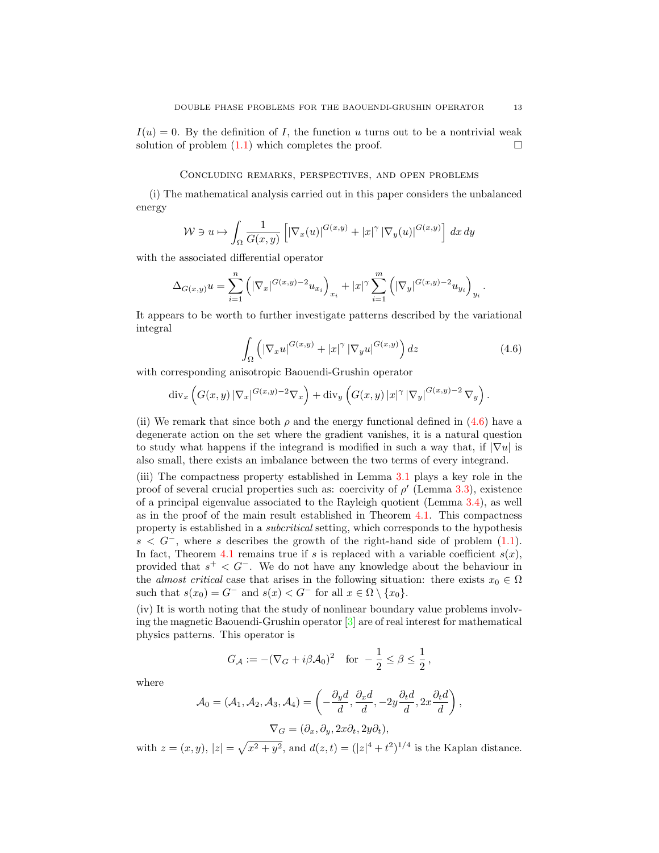$I(u) = 0$ . By the definition of I, the function u turns out to be a nontrivial weak solution of problem  $(1.1)$  which completes the proof.

#### Concluding remarks, perspectives, and open problems

(i) The mathematical analysis carried out in this paper considers the unbalanced energy

$$
\mathcal{W} \ni u \mapsto \int_{\Omega} \frac{1}{G(x,y)} \left[ \left| \nabla_x(u) \right|^{G(x,y)} + \left| x \right|^{\gamma} \left| \nabla_y(u) \right|^{G(x,y)} \right] dx dy
$$

with the associated differential operator

$$
\Delta_{G(x,y)} u = \sum_{i=1}^n \left( |\nabla_x|^{G(x,y)-2} u_{x_i} \right)_{x_i} + |x|^\gamma \sum_{i=1}^m \left( |\nabla_y|^{G(x,y)-2} u_{y_i} \right)_{y_i}.
$$

It appears to be worth to further investigate patterns described by the variational integral

<span id="page-12-0"></span>
$$
\int_{\Omega} \left( \left| \nabla_x u \right|^{G(x,y)} + |x|^{\gamma} \left| \nabla_y u \right|^{G(x,y)} \right) dz \tag{4.6}
$$

with corresponding anisotropic Baouendi-Grushin operator

$$
\mathrm{div}_x \left( G(x,y) \left| \nabla_x \right|^{G(x,y)-2} \nabla_x \right) + \mathrm{div}_y \left( G(x,y) \left| x \right|^\gamma \left| \nabla_y \right|^{G(x,y)-2} \nabla_y \right).
$$

(ii) We remark that since both  $\rho$  and the energy functional defined in [\(4.6\)](#page-12-0) have a degenerate action on the set where the gradient vanishes, it is a natural question to study what happens if the integrand is modified in such a way that, if  $|\nabla u|$  is also small, there exists an imbalance between the two terms of every integrand.

(iii) The compactness property established in Lemma [3.1](#page-4-2) plays a key role in the proof of several crucial properties such as: coercivity of  $\rho'$  (Lemma [3.3\)](#page-6-0), existence of a principal eigenvalue associated to the Rayleigh quotient (Lemma [3.4\)](#page-6-1), as well as in the proof of the main result established in Theorem [4.1.](#page-10-1) This compactness property is established in a subcritical setting, which corresponds to the hypothesis  $s < G^-$ , where s describes the growth of the right-hand side of problem [\(1.1\)](#page-0-0). In fact, Theorem [4.1](#page-10-1) remains true if s is replaced with a variable coefficient  $s(x)$ , provided that  $s^+ < G^-$ . We do not have any knowledge about the behaviour in the *almost critical* case that arises in the following situation: there exists  $x_0 \in \Omega$ such that  $s(x_0) = G^-$  and  $s(x) < G^-$  for all  $x \in \Omega \setminus \{x_0\}.$ 

(iv) It is worth noting that the study of nonlinear boundary value problems involving the magnetic Baouendi-Grushin operator [\[3\]](#page-13-25) are of real interest for mathematical physics patterns. This operator is

$$
G_{\mathcal{A}} := -(\nabla_G + i\beta \mathcal{A}_0)^2 \quad \text{for } -\frac{1}{2} \le \beta \le \frac{1}{2},
$$

where

$$
\mathcal{A}_0 = (\mathcal{A}_1, \mathcal{A}_2, \mathcal{A}_3, \mathcal{A}_4) = \left( -\frac{\partial_y d}{d}, \frac{\partial_x d}{d}, -2y \frac{\partial_t d}{d}, 2x \frac{\partial_t d}{d} \right),
$$
  

$$
\nabla_G = (\partial_x, \partial_y, 2x \partial_t, 2y \partial_t),
$$

with  $z = (x, y), |z| = \sqrt{x^2 + y^2}$ , and  $d(z, t) = (|z|^4 + t^2)^{1/4}$  is the Kaplan distance.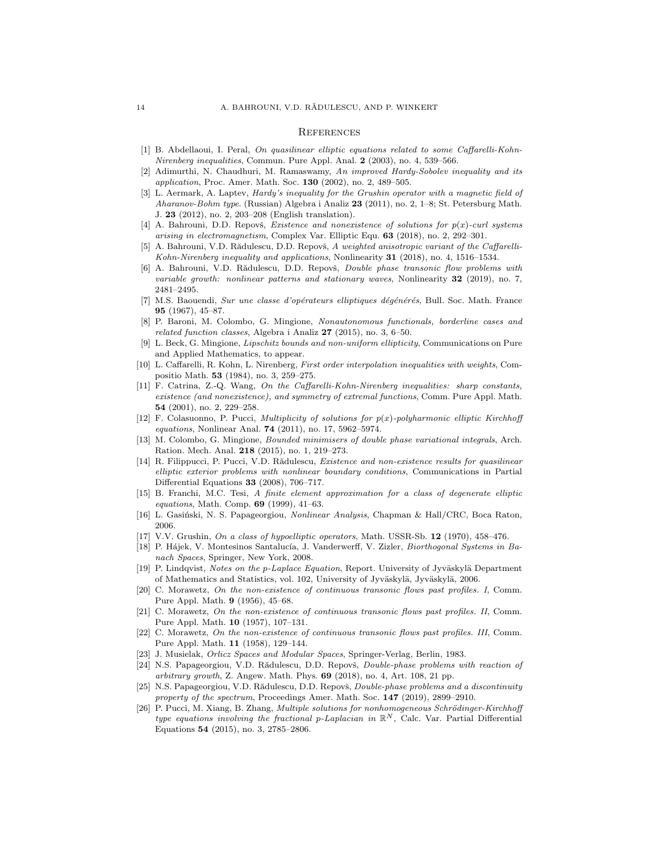#### **REFERENCES**

- <span id="page-13-15"></span>[1] B. Abdellaoui, I. Peral, On quasilinear elliptic equations related to some Caffarelli-Kohn-Nirenberg inequalities, Commun. Pure Appl. Anal. 2 (2003), no. 4, 539-566.
- <span id="page-13-7"></span>[2] Adimurthi, N. Chaudhuri, M. Ramaswamy, An improved Hardy-Sobolev inequality and its application, Proc. Amer. Math. Soc. 130 (2002), no. 2, 489-505.
- <span id="page-13-25"></span>[3] L. Aermark, A. Laptev, *Hardy's inequality for the Grushin operator with a magnetic field of* Aharanov-Bohm type. (Russian) Algebra i Analiz 23 (2011), no. 2, 1–8; St. Petersburg Math. J. 23 (2012), no. 2, 203–208 (English translation).
- <span id="page-13-18"></span>[4] A. Bahrouni, D.D. Repovš, *Existence and nonexistence of solutions for*  $p(x)$ *-curl systems* arising in electromagnetism, Complex Var. Elliptic Equ. 63 (2018), no. 2, 292–301.
- <span id="page-13-16"></span>[5] A. Bahrouni, V.D. Rădulescu, D.D. Repovš, A weighted anisotropic variant of the Caffarelli-Kohn-Nirenberg inequality and applications, Nonlinearity 31 (2018), no. 4, 1516–1534.
- <span id="page-13-0"></span>[6] A. Bahrouni, V.D. Rădulescu, D.D. Repovš, *Double phase transonic flow problems with* variable growth: nonlinear patterns and stationary waves, Nonlinearity  $32$  (2019), no. 7, 2481–2495.
- <span id="page-13-1"></span>[7] M.S. Baouendi, Sur une classe d'opérateurs elliptiques dégénérés, Bull. Soc. Math. France 95 (1967), 45–87.
- <span id="page-13-8"></span>[8] P. Baroni, M. Colombo, G. Mingione, Nonautonomous functionals, borderline cases and related function classes, Algebra i Analiz 27 (2015), no. 3, 6–50.
- <span id="page-13-11"></span>[9] L. Beck, G. Mingione, Lipschitz bounds and non-uniform ellipticity, Communications on Pure and Applied Mathematics, to appear.
- <span id="page-13-14"></span>[10] L. Caffarelli, R. Kohn, L. Nirenberg, First order interpolation inequalities with weights, Compositio Math. 53 (1984), no. 3, 259–275.
- <span id="page-13-17"></span>[11] F. Catrina, Z.-Q. Wang, On the Caffarelli-Kohn-Nirenberg inequalities: sharp constants, existence (and nonexistence), and symmetry of extremal functions, Comm. Pure Appl. Math. 54 (2001), no. 2, 229–258.
- <span id="page-13-9"></span>[12] F. Colasuonno, P. Pucci, *Multiplicity of solutions for*  $p(x)$ *-polyharmonic elliptic Kirchhoff* equations, Nonlinear Anal. 74 (2011), no. 17, 5962–5974.
- <span id="page-13-10"></span>[13] M. Colombo, G. Mingione, Bounded minimisers of double phase variational integrals, Arch. Ration. Mech. Anal. 218 (2015), no. 1, 219–273.
- <span id="page-13-23"></span>[14] R. Filippucci, P. Pucci, V.D. Rădulescu, Existence and non-existence results for quasilinear elliptic exterior problems with nonlinear boundary conditions, Communications in Partial Differential Equations  $33$  (2008), 706–717.
- <span id="page-13-3"></span>[15] B. Franchi, M.C. Tesi, A finite element approximation for a class of degenerate elliptic equations, Math. Comp. 69 (1999), 41-63.
- <span id="page-13-21"></span>[16] L. Gasiński, N. S. Papageorgiou, Nonlinear Analysis, Chapman & Hall/CRC, Boca Raton, 2006.
- <span id="page-13-2"></span>[17] V.V. Grushin, On a class of hypoelliptic operators, Math. USSR-Sb. 12 (1970), 458–476.
- <span id="page-13-19"></span>[18] P. Hájek, V. Montesinos Santalucía, J. Vanderwerff, V. Zizler, Biorthogonal Systems in Banach Spaces, Springer, New York, 2008.
- <span id="page-13-22"></span>[19] P. Lindqvist, Notes on the p-Laplace Equation, Report. University of Jyväskylä Department of Mathematics and Statistics, vol. 102, University of Jyväskylä, Jyväskylä, 2006.
- <span id="page-13-4"></span>[20] C. Morawetz, On the non-existence of continuous transonic flows past profiles. I, Comm. Pure Appl. Math. 9 (1956), 45–68.
- <span id="page-13-5"></span>[21] C. Morawetz, On the non-existence of continuous transonic flows past profiles. II, Comm. Pure Appl. Math. 10 (1957), 107–131.
- <span id="page-13-6"></span>[22] C. Morawetz, On the non-existence of continuous transonic flows past profiles. III, Comm. Pure Appl. Math. 11 (1958), 129–144.
- <span id="page-13-20"></span>[23] J. Musielak, Orlicz Spaces and Modular Spaces, Springer-Verlag, Berlin, 1983.
- <span id="page-13-12"></span>[24] N.S. Papageorgiou, V.D. Rădulescu, D.D. Repovš, *Double-phase problems with reaction of*  $arbitrary growth$ , Z. Angew. Math. Phys.  $69$  (2018), no. 4, Art. 108, 21 pp.
- <span id="page-13-13"></span>[25] N.S. Papageorgiou, V.D. Rădulescu, D.D. Repovš, Double-phase problems and a discontinuity property of the spectrum, Proceedings Amer. Math. Soc. 147 (2019), 2899-2910.
- <span id="page-13-24"></span>[26] P. Pucci, M. Xiang, B. Zhang, *Multiple solutions for nonhomogeneous Schrödinger-Kirchhoff* type equations involving the fractional p-Laplacian in  $\mathbb{R}^N$ , Calc. Var. Partial Differential Equations 54 (2015), no. 3, 2785–2806.